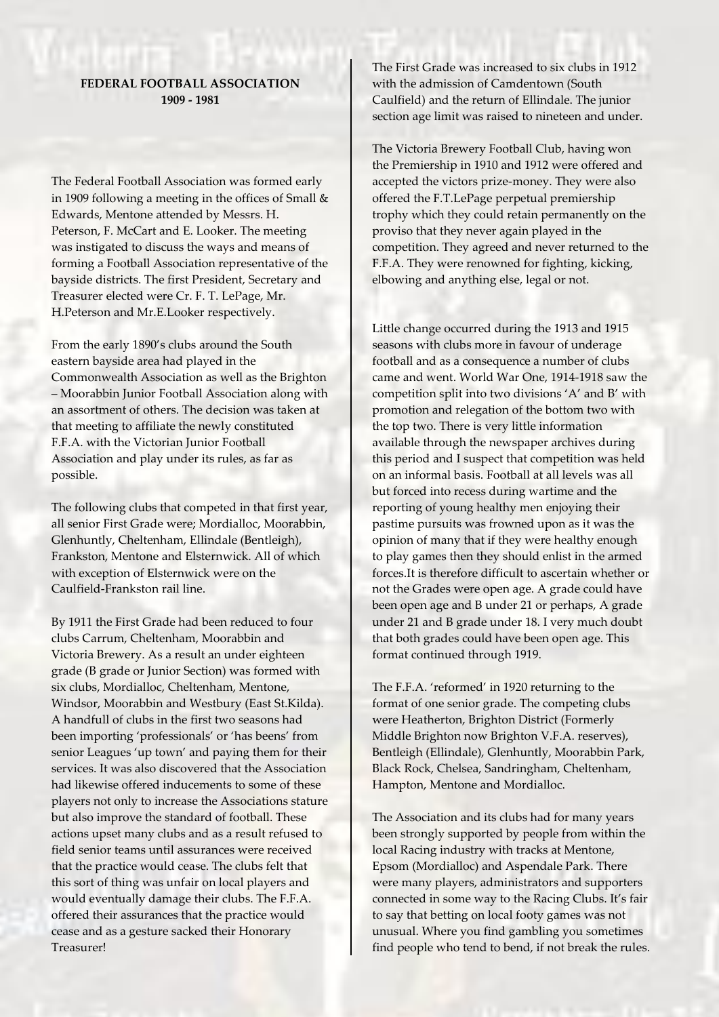## **FEDERAL FOOTBALL ASSOCIATION 1909 - 1981**

The Federal Football Association was formed early in 1909 following a meeting in the offices of Small & Edwards, Mentone attended by Messrs. H. Peterson, F. McCart and E. Looker. The meeting was instigated to discuss the ways and means of forming a Football Association representative of the bayside districts. The first President, Secretary and Treasurer elected were Cr. F. T. LePage, Mr. H.Peterson and Mr.E.Looker respectively.

From the early 1890's clubs around the South eastern bayside area had played in the Commonwealth Association as well as the Brighton – Moorabbin Junior Football Association along with an assortment of others. The decision was taken at that meeting to affiliate the newly constituted F.F.A. with the Victorian Junior Football Association and play under its rules, as far as possible.

The following clubs that competed in that first year, all senior First Grade were; Mordialloc, Moorabbin, Glenhuntly, Cheltenham, Ellindale (Bentleigh), Frankston, Mentone and Elsternwick. All of which with exception of Elsternwick were on the Caulfield-Frankston rail line.

By 1911 the First Grade had been reduced to four clubs Carrum, Cheltenham, Moorabbin and Victoria Brewery. As a result an under eighteen grade (B grade or Junior Section) was formed with six clubs, Mordialloc, Cheltenham, Mentone, Windsor, Moorabbin and Westbury (East St.Kilda). A handfull of clubs in the first two seasons had been importing 'professionals' or 'has beens' from senior Leagues 'up town' and paying them for their services. It was also discovered that the Association had likewise offered inducements to some of these players not only to increase the Associations stature but also improve the standard of football. These actions upset many clubs and as a result refused to field senior teams until assurances were received that the practice would cease. The clubs felt that this sort of thing was unfair on local players and would eventually damage their clubs. The F.F.A. offered their assurances that the practice would cease and as a gesture sacked their Honorary Treasurer!

The First Grade was increased to six clubs in 1912 with the admission of Camdentown (South Caulfield) and the return of Ellindale. The junior section age limit was raised to nineteen and under.

The Victoria Brewery Football Club, having won the Premiership in 1910 and 1912 were offered and accepted the victors prize-money. They were also offered the F.T.LePage perpetual premiership trophy which they could retain permanently on the proviso that they never again played in the competition. They agreed and never returned to the F.F.A. They were renowned for fighting, kicking, elbowing and anything else, legal or not.

Little change occurred during the 1913 and 1915 seasons with clubs more in favour of underage football and as a consequence a number of clubs came and went. World War One, 1914-1918 saw the competition split into two divisions 'A' and B' with promotion and relegation of the bottom two with the top two. There is very little information available through the newspaper archives during this period and I suspect that competition was held on an informal basis. Football at all levels was all but forced into recess during wartime and the reporting of young healthy men enjoying their pastime pursuits was frowned upon as it was the opinion of many that if they were healthy enough to play games then they should enlist in the armed forces.It is therefore difficult to ascertain whether or not the Grades were open age. A grade could have been open age and B under 21 or perhaps, A grade under 21 and B grade under 18. I very much doubt that both grades could have been open age. This format continued through 1919.

The F.F.A. 'reformed' in 1920 returning to the format of one senior grade. The competing clubs were Heatherton, Brighton District (Formerly Middle Brighton now Brighton V.F.A. reserves), Bentleigh (Ellindale), Glenhuntly, Moorabbin Park, Black Rock, Chelsea, Sandringham, Cheltenham, Hampton, Mentone and Mordialloc.

The Association and its clubs had for many years been strongly supported by people from within the local Racing industry with tracks at Mentone, Epsom (Mordialloc) and Aspendale Park. There were many players, administrators and supporters connected in some way to the Racing Clubs. It's fair to say that betting on local footy games was not unusual. Where you find gambling you sometimes find people who tend to bend, if not break the rules.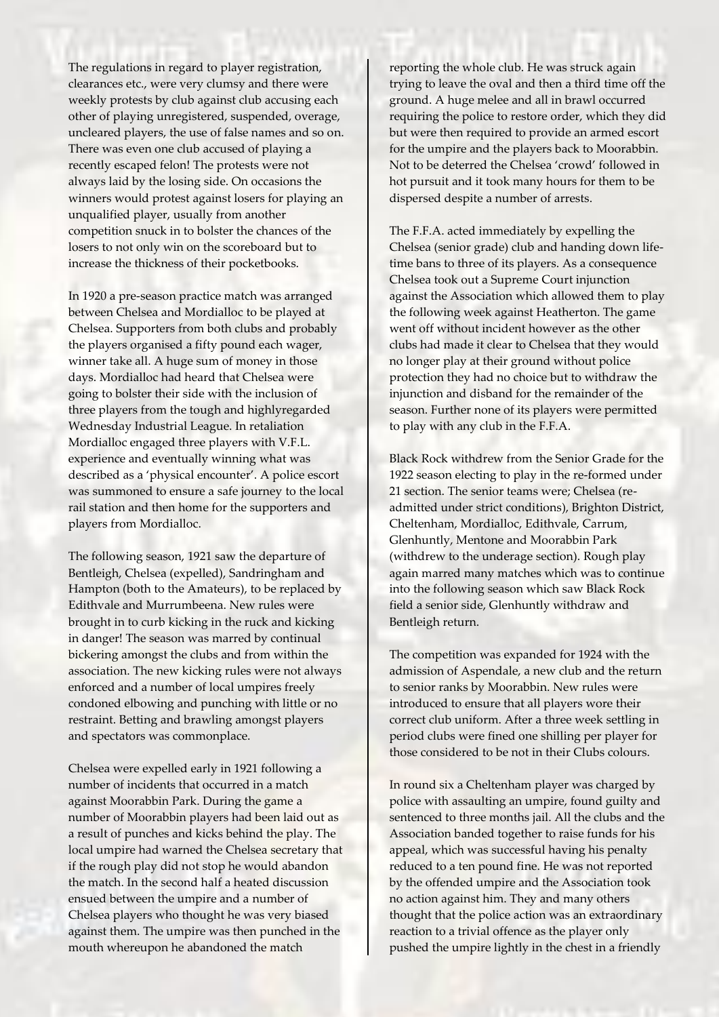The regulations in regard to player registration, clearances etc., were very clumsy and there were weekly protests by club against club accusing each other of playing unregistered, suspended, overage, uncleared players, the use of false names and so on. There was even one club accused of playing a recently escaped felon! The protests were not always laid by the losing side. On occasions the winners would protest against losers for playing an unqualified player, usually from another competition snuck in to bolster the chances of the losers to not only win on the scoreboard but to increase the thickness of their pocketbooks.

In 1920 a pre-season practice match was arranged between Chelsea and Mordialloc to be played at Chelsea. Supporters from both clubs and probably the players organised a fifty pound each wager, winner take all. A huge sum of money in those days. Mordialloc had heard that Chelsea were going to bolster their side with the inclusion of three players from the tough and highlyregarded Wednesday Industrial League. In retaliation Mordialloc engaged three players with V.F.L. experience and eventually winning what was described as a 'physical encounter'. A police escort was summoned to ensure a safe journey to the local rail station and then home for the supporters and players from Mordialloc.

The following season, 1921 saw the departure of Bentleigh, Chelsea (expelled), Sandringham and Hampton (both to the Amateurs), to be replaced by Edithvale and Murrumbeena. New rules were brought in to curb kicking in the ruck and kicking in danger! The season was marred by continual bickering amongst the clubs and from within the association. The new kicking rules were not always enforced and a number of local umpires freely condoned elbowing and punching with little or no restraint. Betting and brawling amongst players and spectators was commonplace.

Chelsea were expelled early in 1921 following a number of incidents that occurred in a match against Moorabbin Park. During the game a number of Moorabbin players had been laid out as a result of punches and kicks behind the play. The local umpire had warned the Chelsea secretary that if the rough play did not stop he would abandon the match. In the second half a heated discussion ensued between the umpire and a number of Chelsea players who thought he was very biased against them. The umpire was then punched in the mouth whereupon he abandoned the match

reporting the whole club. He was struck again trying to leave the oval and then a third time off the ground. A huge melee and all in brawl occurred requiring the police to restore order, which they did but were then required to provide an armed escort for the umpire and the players back to Moorabbin. Not to be deterred the Chelsea 'crowd' followed in hot pursuit and it took many hours for them to be dispersed despite a number of arrests.

The F.F.A. acted immediately by expelling the Chelsea (senior grade) club and handing down lifetime bans to three of its players. As a consequence Chelsea took out a Supreme Court injunction against the Association which allowed them to play the following week against Heatherton. The game went off without incident however as the other clubs had made it clear to Chelsea that they would no longer play at their ground without police protection they had no choice but to withdraw the injunction and disband for the remainder of the season. Further none of its players were permitted to play with any club in the F.F.A.

Black Rock withdrew from the Senior Grade for the 1922 season electing to play in the re-formed under 21 section. The senior teams were; Chelsea (readmitted under strict conditions), Brighton District, Cheltenham, Mordialloc, Edithvale, Carrum, Glenhuntly, Mentone and Moorabbin Park (withdrew to the underage section). Rough play again marred many matches which was to continue into the following season which saw Black Rock field a senior side, Glenhuntly withdraw and Bentleigh return.

The competition was expanded for 1924 with the admission of Aspendale, a new club and the return to senior ranks by Moorabbin. New rules were introduced to ensure that all players wore their correct club uniform. After a three week settling in period clubs were fined one shilling per player for those considered to be not in their Clubs colours.

In round six a Cheltenham player was charged by police with assaulting an umpire, found guilty and sentenced to three months jail. All the clubs and the Association banded together to raise funds for his appeal, which was successful having his penalty reduced to a ten pound fine. He was not reported by the offended umpire and the Association took no action against him. They and many others thought that the police action was an extraordinary reaction to a trivial offence as the player only pushed the umpire lightly in the chest in a friendly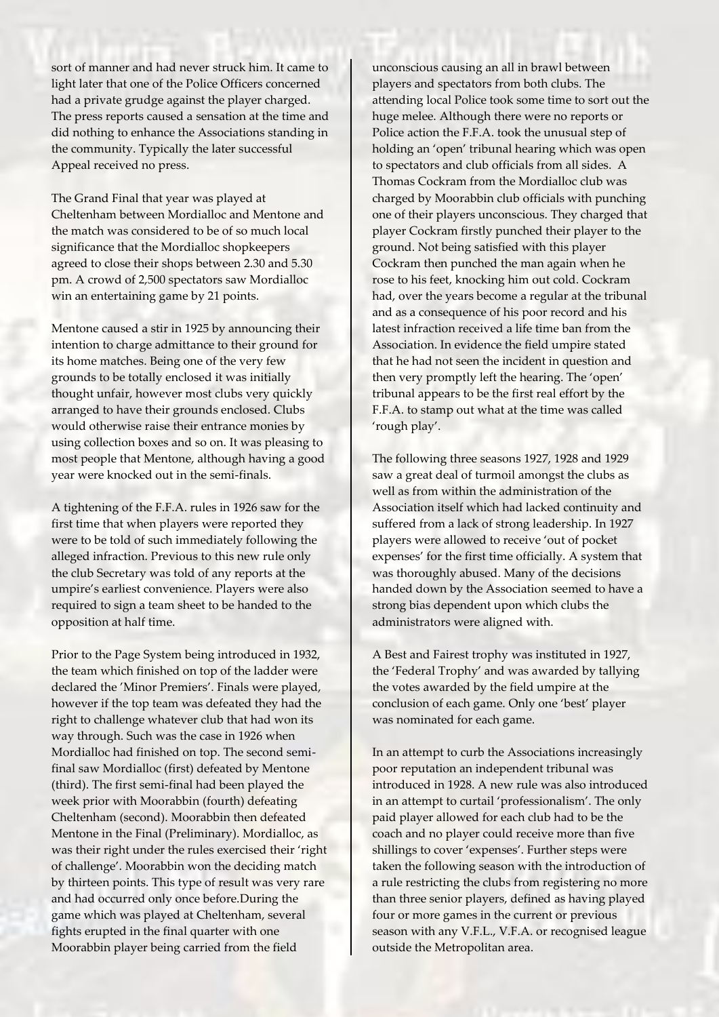sort of manner and had never struck him. It came to light later that one of the Police Officers concerned had a private grudge against the player charged. The press reports caused a sensation at the time and did nothing to enhance the Associations standing in the community. Typically the later successful Appeal received no press.

The Grand Final that year was played at Cheltenham between Mordialloc and Mentone and the match was considered to be of so much local significance that the Mordialloc shopkeepers agreed to close their shops between 2.30 and 5.30 pm. A crowd of 2,500 spectators saw Mordialloc win an entertaining game by 21 points.

Mentone caused a stir in 1925 by announcing their intention to charge admittance to their ground for its home matches. Being one of the very few grounds to be totally enclosed it was initially thought unfair, however most clubs very quickly arranged to have their grounds enclosed. Clubs would otherwise raise their entrance monies by using collection boxes and so on. It was pleasing to most people that Mentone, although having a good year were knocked out in the semi-finals.

A tightening of the F.F.A. rules in 1926 saw for the first time that when players were reported they were to be told of such immediately following the alleged infraction. Previous to this new rule only the club Secretary was told of any reports at the umpire's earliest convenience. Players were also required to sign a team sheet to be handed to the opposition at half time.

Prior to the Page System being introduced in 1932, the team which finished on top of the ladder were declared the 'Minor Premiers'. Finals were played, however if the top team was defeated they had the right to challenge whatever club that had won its way through. Such was the case in 1926 when Mordialloc had finished on top. The second semifinal saw Mordialloc (first) defeated by Mentone (third). The first semi-final had been played the week prior with Moorabbin (fourth) defeating Cheltenham (second). Moorabbin then defeated Mentone in the Final (Preliminary). Mordialloc, as was their right under the rules exercised their 'right of challenge'. Moorabbin won the deciding match by thirteen points. This type of result was very rare and had occurred only once before.During the game which was played at Cheltenham, several fights erupted in the final quarter with one Moorabbin player being carried from the field

unconscious causing an all in brawl between players and spectators from both clubs. The attending local Police took some time to sort out the huge melee. Although there were no reports or Police action the F.F.A. took the unusual step of holding an 'open' tribunal hearing which was open to spectators and club officials from all sides. A Thomas Cockram from the Mordialloc club was charged by Moorabbin club officials with punching one of their players unconscious. They charged that player Cockram firstly punched their player to the ground. Not being satisfied with this player Cockram then punched the man again when he rose to his feet, knocking him out cold. Cockram had, over the years become a regular at the tribunal and as a consequence of his poor record and his latest infraction received a life time ban from the Association. In evidence the field umpire stated that he had not seen the incident in question and then very promptly left the hearing. The 'open' tribunal appears to be the first real effort by the F.F.A. to stamp out what at the time was called 'rough play'.

The following three seasons 1927, 1928 and 1929 saw a great deal of turmoil amongst the clubs as well as from within the administration of the Association itself which had lacked continuity and suffered from a lack of strong leadership. In 1927 players were allowed to receive 'out of pocket expenses' for the first time officially. A system that was thoroughly abused. Many of the decisions handed down by the Association seemed to have a strong bias dependent upon which clubs the administrators were aligned with.

A Best and Fairest trophy was instituted in 1927, the 'Federal Trophy' and was awarded by tallying the votes awarded by the field umpire at the conclusion of each game. Only one 'best' player was nominated for each game.

In an attempt to curb the Associations increasingly poor reputation an independent tribunal was introduced in 1928. A new rule was also introduced in an attempt to curtail 'professionalism'. The only paid player allowed for each club had to be the coach and no player could receive more than five shillings to cover 'expenses'. Further steps were taken the following season with the introduction of a rule restricting the clubs from registering no more than three senior players, defined as having played four or more games in the current or previous season with any V.F.L., V.F.A. or recognised league outside the Metropolitan area.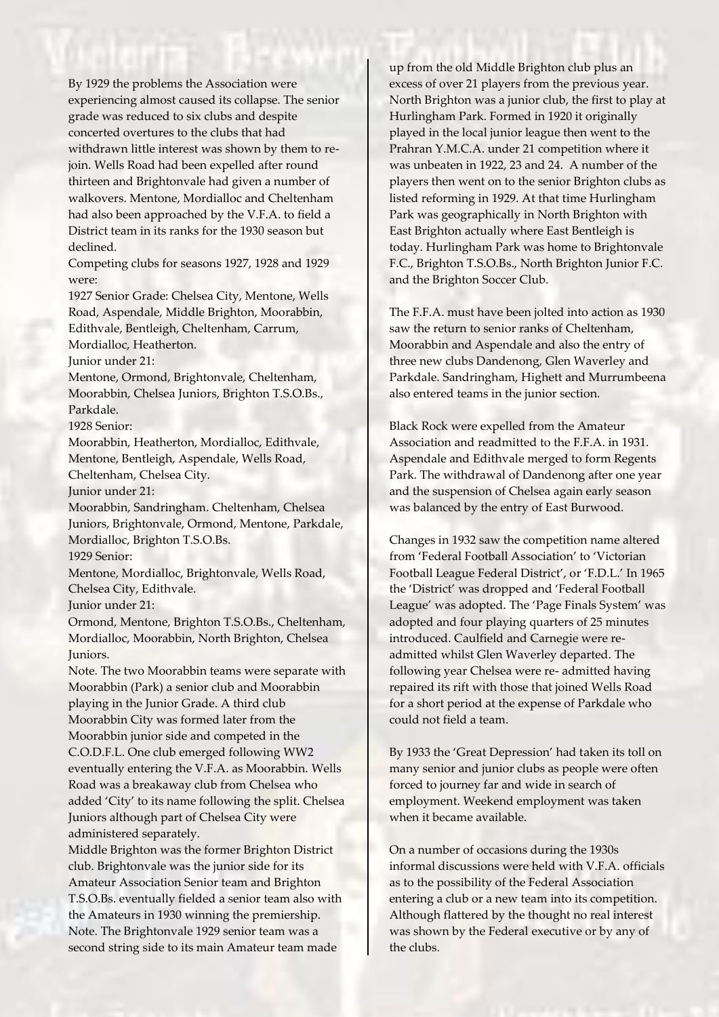By 1929 the problems the Association were experiencing almost caused its collapse. The senior grade was reduced to six clubs and despite concerted overtures to the clubs that had withdrawn little interest was shown by them to rejoin. Wells Road had been expelled after round thirteen and Brightonvale had given a number of walkovers. Mentone, Mordialloc and Cheltenham had also been approached by the V.F.A. to field a District team in its ranks for the 1930 season but declined.

Competing clubs for seasons 1927, 1928 and 1929 were:

1927 Senior Grade: Chelsea City, Mentone, Wells Road, Aspendale, Middle Brighton, Moorabbin, Edithvale, Bentleigh, Cheltenham, Carrum, Mordialloc, Heatherton.

Junior under 21:

Mentone, Ormond, Brightonvale, Cheltenham, Moorabbin, Chelsea Juniors, Brighton T.S.O.Bs., Parkdale.

1928 Senior:

Moorabbin, Heatherton, Mordialloc, Edithvale, Mentone, Bentleigh, Aspendale, Wells Road, Cheltenham, Chelsea City.

Junior under 21:

Moorabbin, Sandringham. Cheltenham, Chelsea Juniors, Brightonvale, Ormond, Mentone, Parkdale, Mordialloc, Brighton T.S.O.Bs.

1929 Senior:

Mentone, Mordialloc, Brightonvale, Wells Road, Chelsea City, Edithvale.

Junior under 21:

Ormond, Mentone, Brighton T.S.O.Bs., Cheltenham, Mordialloc, Moorabbin, North Brighton, Chelsea Juniors.

Note. The two Moorabbin teams were separate with Moorabbin (Park) a senior club and Moorabbin playing in the Junior Grade. A third club Moorabbin City was formed later from the Moorabbin junior side and competed in the C.O.D.F.L. One club emerged following WW2 eventually entering the V.F.A. as Moorabbin. Wells Road was a breakaway club from Chelsea who added 'City' to its name following the split. Chelsea Juniors although part of Chelsea City were administered separately.

Middle Brighton was the former Brighton District club. Brightonvale was the junior side for its Amateur Association Senior team and Brighton T.S.O.Bs. eventually fielded a senior team also with the Amateurs in 1930 winning the premiership. Note. The Brightonvale 1929 senior team was a second string side to its main Amateur team made

up from the old Middle Brighton club plus an excess of over 21 players from the previous year. North Brighton was a junior club, the first to play at Hurlingham Park. Formed in 1920 it originally played in the local junior league then went to the Prahran Y.M.C.A. under 21 competition where it was unbeaten in 1922, 23 and 24. A number of the players then went on to the senior Brighton clubs as listed reforming in 1929. At that time Hurlingham Park was geographically in North Brighton with East Brighton actually where East Bentleigh is today. Hurlingham Park was home to Brightonvale F.C., Brighton T.S.O.Bs., North Brighton Junior F.C. and the Brighton Soccer Club.

The F.F.A. must have been jolted into action as 1930 saw the return to senior ranks of Cheltenham, Moorabbin and Aspendale and also the entry of three new clubs Dandenong, Glen Waverley and Parkdale. Sandringham, Highett and Murrumbeena also entered teams in the junior section.

Black Rock were expelled from the Amateur Association and readmitted to the F.F.A. in 1931. Aspendale and Edithvale merged to form Regents Park. The withdrawal of Dandenong after one year and the suspension of Chelsea again early season was balanced by the entry of East Burwood.

Changes in 1932 saw the competition name altered from 'Federal Football Association' to 'Victorian Football League Federal District', or 'F.D.L.' In 1965 the 'District' was dropped and 'Federal Football League' was adopted. The 'Page Finals System' was adopted and four playing quarters of 25 minutes introduced. Caulfield and Carnegie were readmitted whilst Glen Waverley departed. The following year Chelsea were re- admitted having repaired its rift with those that joined Wells Road for a short period at the expense of Parkdale who could not field a team.

By 1933 the 'Great Depression' had taken its toll on many senior and junior clubs as people were often forced to journey far and wide in search of employment. Weekend employment was taken when it became available.

On a number of occasions during the 1930s informal discussions were held with V.F.A. officials as to the possibility of the Federal Association entering a club or a new team into its competition. Although flattered by the thought no real interest was shown by the Federal executive or by any of the clubs.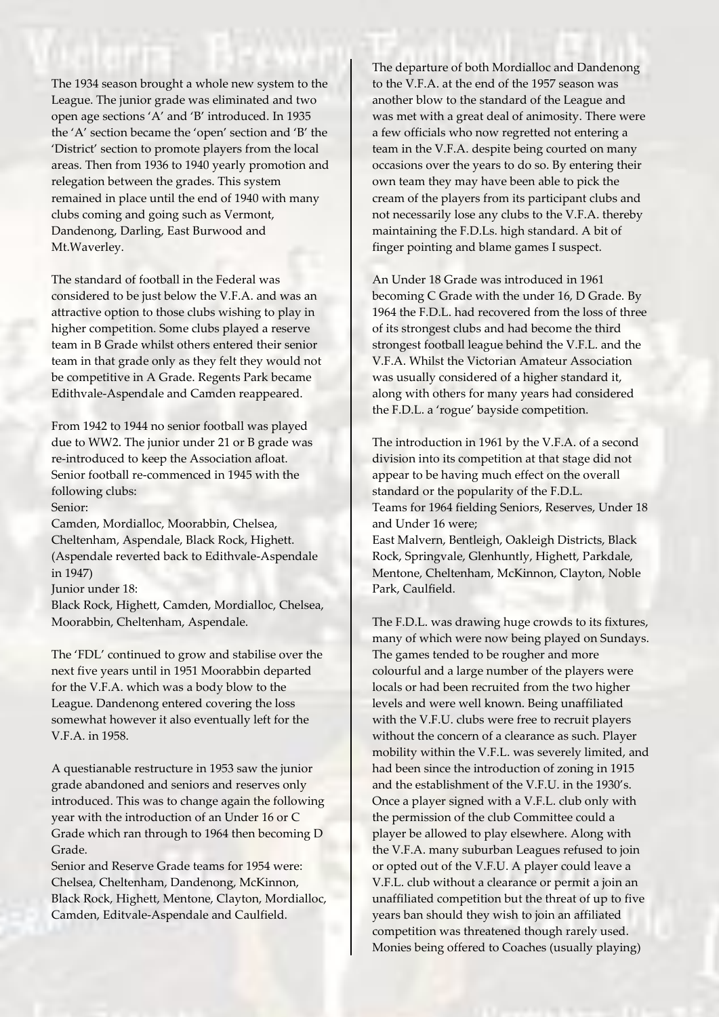The 1934 season brought a whole new system to the League. The junior grade was eliminated and two open age sections 'A' and 'B' introduced. In 1935 the 'A' section became the 'open' section and 'B' the 'District' section to promote players from the local areas. Then from 1936 to 1940 yearly promotion and relegation between the grades. This system remained in place until the end of 1940 with many clubs coming and going such as Vermont, Dandenong, Darling, East Burwood and Mt.Waverley.

The standard of football in the Federal was considered to be just below the V.F.A. and was an attractive option to those clubs wishing to play in higher competition. Some clubs played a reserve team in B Grade whilst others entered their senior team in that grade only as they felt they would not be competitive in A Grade. Regents Park became Edithvale-Aspendale and Camden reappeared.

From 1942 to 1944 no senior football was played due to WW2. The junior under 21 or B grade was re-introduced to keep the Association afloat. Senior football re-commenced in 1945 with the following clubs:

## Senior:

Camden, Mordialloc, Moorabbin, Chelsea, Cheltenham, Aspendale, Black Rock, Highett. (Aspendale reverted back to Edithvale-Aspendale in 1947)

Junior under 18:

Black Rock, Highett, Camden, Mordialloc, Chelsea, Moorabbin, Cheltenham, Aspendale.

The 'FDL' continued to grow and stabilise over the next five years until in 1951 Moorabbin departed for the V.F.A. which was a body blow to the League. Dandenong entered covering the loss somewhat however it also eventually left for the V.F.A. in 1958.

A questianable restructure in 1953 saw the junior grade abandoned and seniors and reserves only introduced. This was to change again the following year with the introduction of an Under 16 or C Grade which ran through to 1964 then becoming D Grade.

Senior and Reserve Grade teams for 1954 were: Chelsea, Cheltenham, Dandenong, McKinnon, Black Rock, Highett, Mentone, Clayton, Mordialloc, Camden, Editvale-Aspendale and Caulfield.

The departure of both Mordialloc and Dandenong to the V.F.A. at the end of the 1957 season was another blow to the standard of the League and was met with a great deal of animosity. There were a few officials who now regretted not entering a team in the V.F.A. despite being courted on many occasions over the years to do so. By entering their own team they may have been able to pick the cream of the players from its participant clubs and not necessarily lose any clubs to the V.F.A. thereby maintaining the F.D.Ls. high standard. A bit of finger pointing and blame games I suspect.

An Under 18 Grade was introduced in 1961 becoming C Grade with the under 16, D Grade. By 1964 the F.D.L. had recovered from the loss of three of its strongest clubs and had become the third strongest football league behind the V.F.L. and the V.F.A. Whilst the Victorian Amateur Association was usually considered of a higher standard it, along with others for many years had considered the F.D.L. a 'rogue' bayside competition.

The introduction in 1961 by the V.F.A. of a second division into its competition at that stage did not appear to be having much effect on the overall standard or the popularity of the F.D.L. Teams for 1964 fielding Seniors, Reserves, Under 18 and Under 16 were; East Malvern, Bentleigh, Oakleigh Districts, Black

Rock, Springvale, Glenhuntly, Highett, Parkdale, Mentone, Cheltenham, McKinnon, Clayton, Noble Park, Caulfield.

The F.D.L. was drawing huge crowds to its fixtures, many of which were now being played on Sundays. The games tended to be rougher and more colourful and a large number of the players were locals or had been recruited from the two higher levels and were well known. Being unaffiliated with the V.F.U. clubs were free to recruit players without the concern of a clearance as such. Player mobility within the V.F.L. was severely limited, and had been since the introduction of zoning in 1915 and the establishment of the V.F.U. in the 1930's. Once a player signed with a V.F.L. club only with the permission of the club Committee could a player be allowed to play elsewhere. Along with the V.F.A. many suburban Leagues refused to join or opted out of the V.F.U. A player could leave a V.F.L. club without a clearance or permit a join an unaffiliated competition but the threat of up to five years ban should they wish to join an affiliated competition was threatened though rarely used. Monies being offered to Coaches (usually playing)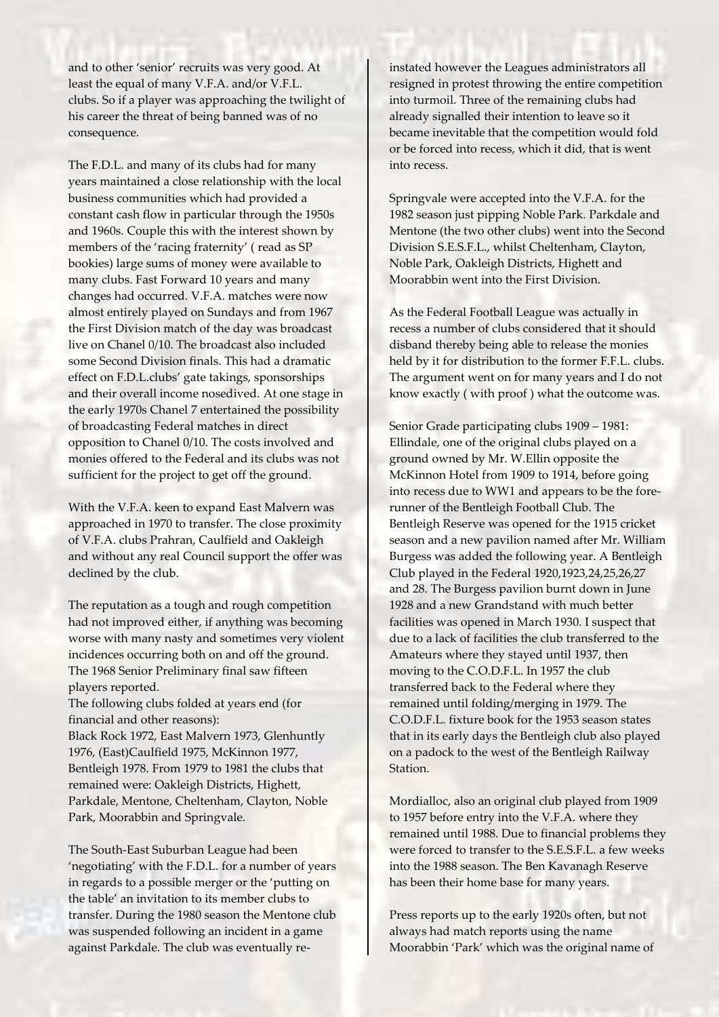and to other 'senior' recruits was very good. At least the equal of many V.F.A. and/or V.F.L. clubs. So if a player was approaching the twilight of his career the threat of being banned was of no consequence.

The F.D.L. and many of its clubs had for many years maintained a close relationship with the local business communities which had provided a constant cash flow in particular through the 1950s and 1960s. Couple this with the interest shown by members of the 'racing fraternity' ( read as SP bookies) large sums of money were available to many clubs. Fast Forward 10 years and many changes had occurred. V.F.A. matches were now almost entirely played on Sundays and from 1967 the First Division match of the day was broadcast live on Chanel 0/10. The broadcast also included some Second Division finals. This had a dramatic effect on F.D.L.clubs' gate takings, sponsorships and their overall income nosedived. At one stage in the early 1970s Chanel 7 entertained the possibility of broadcasting Federal matches in direct opposition to Chanel 0/10. The costs involved and monies offered to the Federal and its clubs was not sufficient for the project to get off the ground.

With the V.F.A. keen to expand East Malvern was approached in 1970 to transfer. The close proximity of V.F.A. clubs Prahran, Caulfield and Oakleigh and without any real Council support the offer was declined by the club.

The reputation as a tough and rough competition had not improved either, if anything was becoming worse with many nasty and sometimes very violent incidences occurring both on and off the ground. The 1968 Senior Preliminary final saw fifteen players reported.

The following clubs folded at years end (for financial and other reasons):

Black Rock 1972, East Malvern 1973, Glenhuntly 1976, (East)Caulfield 1975, McKinnon 1977, Bentleigh 1978. From 1979 to 1981 the clubs that remained were: Oakleigh Districts, Highett, Parkdale, Mentone, Cheltenham, Clayton, Noble Park, Moorabbin and Springvale.

The South-East Suburban League had been 'negotiating' with the F.D.L. for a number of years in regards to a possible merger or the 'putting on the table' an invitation to its member clubs to transfer. During the 1980 season the Mentone club was suspended following an incident in a game against Parkdale. The club was eventually reinstated however the Leagues administrators all resigned in protest throwing the entire competition into turmoil. Three of the remaining clubs had already signalled their intention to leave so it became inevitable that the competition would fold or be forced into recess, which it did, that is went into recess.

Springvale were accepted into the V.F.A. for the 1982 season just pipping Noble Park. Parkdale and Mentone (the two other clubs) went into the Second Division S.E.S.F.L., whilst Cheltenham, Clayton, Noble Park, Oakleigh Districts, Highett and Moorabbin went into the First Division.

As the Federal Football League was actually in recess a number of clubs considered that it should disband thereby being able to release the monies held by it for distribution to the former F.F.L. clubs. The argument went on for many years and I do not know exactly ( with proof ) what the outcome was.

Senior Grade participating clubs 1909 – 1981: Ellindale, one of the original clubs played on a ground owned by Mr. W.Ellin opposite the McKinnon Hotel from 1909 to 1914, before going into recess due to WW1 and appears to be the forerunner of the Bentleigh Football Club. The Bentleigh Reserve was opened for the 1915 cricket season and a new pavilion named after Mr. William Burgess was added the following year. A Bentleigh Club played in the Federal 1920,1923,24,25,26,27 and 28. The Burgess pavilion burnt down in June 1928 and a new Grandstand with much better facilities was opened in March 1930. I suspect that due to a lack of facilities the club transferred to the Amateurs where they stayed until 1937, then moving to the C.O.D.F.L. In 1957 the club transferred back to the Federal where they remained until folding/merging in 1979. The C.O.D.F.L. fixture book for the 1953 season states that in its early days the Bentleigh club also played on a padock to the west of the Bentleigh Railway Station.

Mordialloc, also an original club played from 1909 to 1957 before entry into the V.F.A. where they remained until 1988. Due to financial problems they were forced to transfer to the S.E.S.F.L. a few weeks into the 1988 season. The Ben Kavanagh Reserve has been their home base for many years.

Press reports up to the early 1920s often, but not always had match reports using the name Moorabbin 'Park' which was the original name of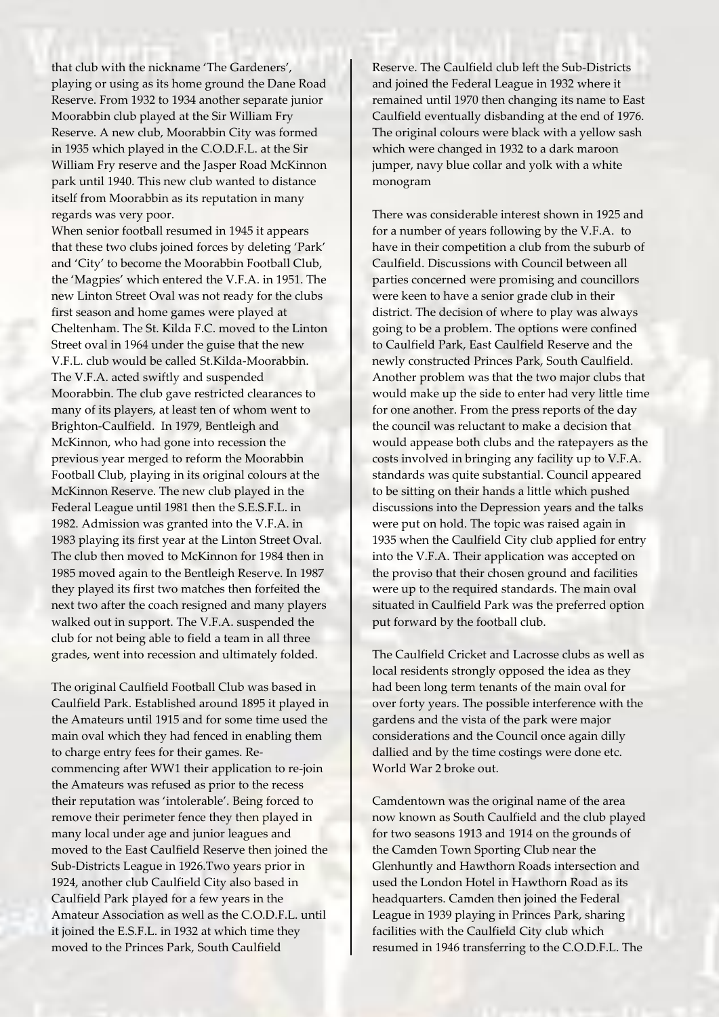that club with the nickname 'The Gardeners', playing or using as its home ground the Dane Road Reserve. From 1932 to 1934 another separate junior Moorabbin club played at the Sir William Fry Reserve. A new club, Moorabbin City was formed in 1935 which played in the C.O.D.F.L. at the Sir William Fry reserve and the Jasper Road McKinnon park until 1940. This new club wanted to distance itself from Moorabbin as its reputation in many regards was very poor.

When senior football resumed in 1945 it appears that these two clubs joined forces by deleting 'Park' and 'City' to become the Moorabbin Football Club, the 'Magpies' which entered the V.F.A. in 1951. The new Linton Street Oval was not ready for the clubs first season and home games were played at Cheltenham. The St. Kilda F.C. moved to the Linton Street oval in 1964 under the guise that the new V.F.L. club would be called St.Kilda-Moorabbin. The V.F.A. acted swiftly and suspended Moorabbin. The club gave restricted clearances to many of its players, at least ten of whom went to Brighton-Caulfield. In 1979, Bentleigh and McKinnon, who had gone into recession the previous year merged to reform the Moorabbin Football Club, playing in its original colours at the McKinnon Reserve. The new club played in the Federal League until 1981 then the S.E.S.F.L. in 1982. Admission was granted into the V.F.A. in 1983 playing its first year at the Linton Street Oval. The club then moved to McKinnon for 1984 then in 1985 moved again to the Bentleigh Reserve. In 1987 they played its first two matches then forfeited the next two after the coach resigned and many players walked out in support. The V.F.A. suspended the club for not being able to field a team in all three grades, went into recession and ultimately folded.

The original Caulfield Football Club was based in Caulfield Park. Established around 1895 it played in the Amateurs until 1915 and for some time used the main oval which they had fenced in enabling them to charge entry fees for their games. Recommencing after WW1 their application to re-join the Amateurs was refused as prior to the recess their reputation was 'intolerable'. Being forced to remove their perimeter fence they then played in many local under age and junior leagues and moved to the East Caulfield Reserve then joined the Sub-Districts League in 1926.Two years prior in 1924, another club Caulfield City also based in Caulfield Park played for a few years in the Amateur Association as well as the C.O.D.F.L. until it joined the E.S.F.L. in 1932 at which time they moved to the Princes Park, South Caulfield

Reserve. The Caulfield club left the Sub-Districts and joined the Federal League in 1932 where it remained until 1970 then changing its name to East Caulfield eventually disbanding at the end of 1976. The original colours were black with a yellow sash which were changed in 1932 to a dark maroon jumper, navy blue collar and yolk with a white monogram

There was considerable interest shown in 1925 and for a number of years following by the V.F.A. to have in their competition a club from the suburb of Caulfield. Discussions with Council between all parties concerned were promising and councillors were keen to have a senior grade club in their district. The decision of where to play was always going to be a problem. The options were confined to Caulfield Park, East Caulfield Reserve and the newly constructed Princes Park, South Caulfield. Another problem was that the two major clubs that would make up the side to enter had very little time for one another. From the press reports of the day the council was reluctant to make a decision that would appease both clubs and the ratepayers as the costs involved in bringing any facility up to V.F.A. standards was quite substantial. Council appeared to be sitting on their hands a little which pushed discussions into the Depression years and the talks were put on hold. The topic was raised again in 1935 when the Caulfield City club applied for entry into the V.F.A. Their application was accepted on the proviso that their chosen ground and facilities were up to the required standards. The main oval situated in Caulfield Park was the preferred option put forward by the football club.

The Caulfield Cricket and Lacrosse clubs as well as local residents strongly opposed the idea as they had been long term tenants of the main oval for over forty years. The possible interference with the gardens and the vista of the park were major considerations and the Council once again dilly dallied and by the time costings were done etc. World War 2 broke out.

Camdentown was the original name of the area now known as South Caulfield and the club played for two seasons 1913 and 1914 on the grounds of the Camden Town Sporting Club near the Glenhuntly and Hawthorn Roads intersection and used the London Hotel in Hawthorn Road as its headquarters. Camden then joined the Federal League in 1939 playing in Princes Park, sharing facilities with the Caulfield City club which resumed in 1946 transferring to the C.O.D.F.L. The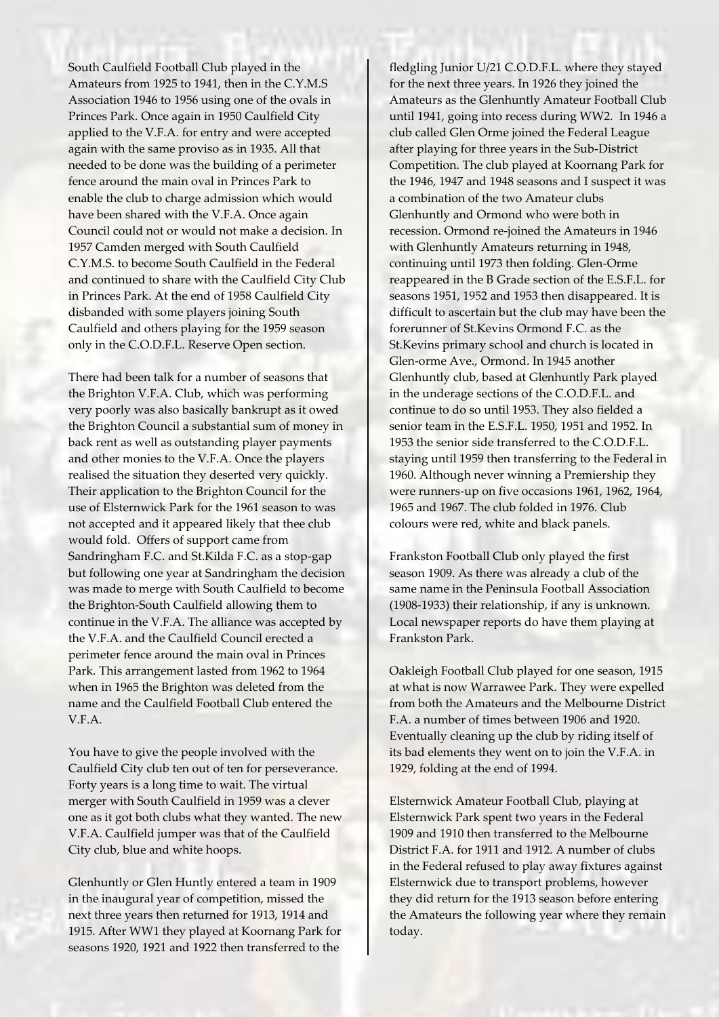South Caulfield Football Club played in the Amateurs from 1925 to 1941, then in the C.Y.M.S Association 1946 to 1956 using one of the ovals in Princes Park. Once again in 1950 Caulfield City applied to the V.F.A. for entry and were accepted again with the same proviso as in 1935. All that needed to be done was the building of a perimeter fence around the main oval in Princes Park to enable the club to charge admission which would have been shared with the V.F.A. Once again Council could not or would not make a decision. In 1957 Camden merged with South Caulfield C.Y.M.S. to become South Caulfield in the Federal and continued to share with the Caulfield City Club in Princes Park. At the end of 1958 Caulfield City disbanded with some players joining South Caulfield and others playing for the 1959 season only in the C.O.D.F.L. Reserve Open section.

There had been talk for a number of seasons that the Brighton V.F.A. Club, which was performing very poorly was also basically bankrupt as it owed the Brighton Council a substantial sum of money in back rent as well as outstanding player payments and other monies to the V.F.A. Once the players realised the situation they deserted very quickly. Their application to the Brighton Council for the use of Elsternwick Park for the 1961 season to was not accepted and it appeared likely that thee club would fold. Offers of support came from Sandringham F.C. and St.Kilda F.C. as a stop-gap but following one year at Sandringham the decision was made to merge with South Caulfield to become the Brighton-South Caulfield allowing them to continue in the V.F.A. The alliance was accepted by the V.F.A. and the Caulfield Council erected a perimeter fence around the main oval in Princes Park. This arrangement lasted from 1962 to 1964 when in 1965 the Brighton was deleted from the name and the Caulfield Football Club entered the V.F.A.

You have to give the people involved with the Caulfield City club ten out of ten for perseverance. Forty years is a long time to wait. The virtual merger with South Caulfield in 1959 was a clever one as it got both clubs what they wanted. The new V.F.A. Caulfield jumper was that of the Caulfield City club, blue and white hoops.

Glenhuntly or Glen Huntly entered a team in 1909 in the inaugural year of competition, missed the next three years then returned for 1913, 1914 and 1915. After WW1 they played at Koornang Park for seasons 1920, 1921 and 1922 then transferred to the

fledgling Junior U/21 C.O.D.F.L. where they stayed for the next three years. In 1926 they joined the Amateurs as the Glenhuntly Amateur Football Club until 1941, going into recess during WW2. In 1946 a club called Glen Orme joined the Federal League after playing for three years in the Sub-District Competition. The club played at Koornang Park for the 1946, 1947 and 1948 seasons and I suspect it was a combination of the two Amateur clubs Glenhuntly and Ormond who were both in recession. Ormond re-joined the Amateurs in 1946 with Glenhuntly Amateurs returning in 1948, continuing until 1973 then folding. Glen-Orme reappeared in the B Grade section of the E.S.F.L. for seasons 1951, 1952 and 1953 then disappeared. It is difficult to ascertain but the club may have been the forerunner of St.Kevins Ormond F.C. as the St.Kevins primary school and church is located in Glen-orme Ave., Ormond. In 1945 another Glenhuntly club, based at Glenhuntly Park played in the underage sections of the C.O.D.F.L. and continue to do so until 1953. They also fielded a senior team in the E.S.F.L. 1950, 1951 and 1952. In 1953 the senior side transferred to the C.O.D.F.L. staying until 1959 then transferring to the Federal in 1960. Although never winning a Premiership they were runners-up on five occasions 1961, 1962, 1964, 1965 and 1967. The club folded in 1976. Club colours were red, white and black panels.

Frankston Football Club only played the first season 1909. As there was already a club of the same name in the Peninsula Football Association (1908-1933) their relationship, if any is unknown. Local newspaper reports do have them playing at Frankston Park.

Oakleigh Football Club played for one season, 1915 at what is now Warrawee Park. They were expelled from both the Amateurs and the Melbourne District F.A. a number of times between 1906 and 1920. Eventually cleaning up the club by riding itself of its bad elements they went on to join the V.F.A. in 1929, folding at the end of 1994.

Elsternwick Amateur Football Club, playing at Elsternwick Park spent two years in the Federal 1909 and 1910 then transferred to the Melbourne District F.A. for 1911 and 1912. A number of clubs in the Federal refused to play away fixtures against Elsternwick due to transport problems, however they did return for the 1913 season before entering the Amateurs the following year where they remain today.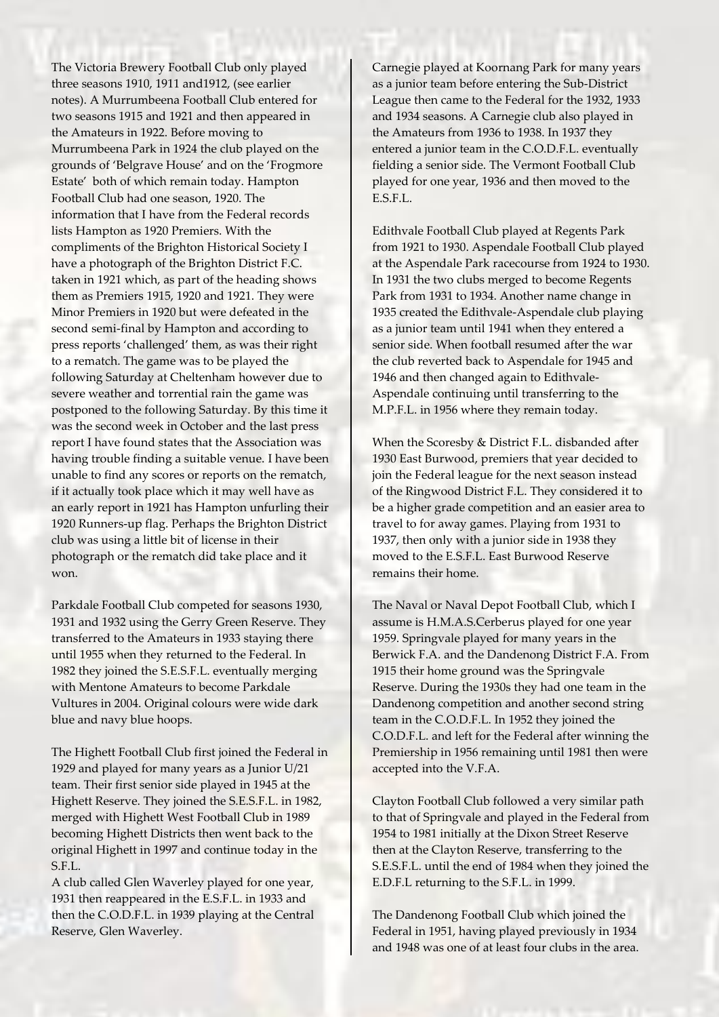The Victoria Brewery Football Club only played three seasons 1910, 1911 and1912, (see earlier notes). A Murrumbeena Football Club entered for two seasons 1915 and 1921 and then appeared in the Amateurs in 1922. Before moving to Murrumbeena Park in 1924 the club played on the grounds of 'Belgrave House' and on the 'Frogmore Estate' both of which remain today. Hampton Football Club had one season, 1920. The information that I have from the Federal records lists Hampton as 1920 Premiers. With the compliments of the Brighton Historical Society I have a photograph of the Brighton District F.C. taken in 1921 which, as part of the heading shows them as Premiers 1915, 1920 and 1921. They were Minor Premiers in 1920 but were defeated in the second semi-final by Hampton and according to press reports 'challenged' them, as was their right to a rematch. The game was to be played the following Saturday at Cheltenham however due to severe weather and torrential rain the game was postponed to the following Saturday. By this time it was the second week in October and the last press report I have found states that the Association was having trouble finding a suitable venue. I have been unable to find any scores or reports on the rematch, if it actually took place which it may well have as an early report in 1921 has Hampton unfurling their 1920 Runners-up flag. Perhaps the Brighton District club was using a little bit of license in their photograph or the rematch did take place and it won.

Parkdale Football Club competed for seasons 1930, 1931 and 1932 using the Gerry Green Reserve. They transferred to the Amateurs in 1933 staying there until 1955 when they returned to the Federal. In 1982 they joined the S.E.S.F.L. eventually merging with Mentone Amateurs to become Parkdale Vultures in 2004. Original colours were wide dark blue and navy blue hoops.

The Highett Football Club first joined the Federal in 1929 and played for many years as a Junior U/21 team. Their first senior side played in 1945 at the Highett Reserve. They joined the S.E.S.F.L. in 1982, merged with Highett West Football Club in 1989 becoming Highett Districts then went back to the original Highett in 1997 and continue today in the S.F.L.

A club called Glen Waverley played for one year, 1931 then reappeared in the E.S.F.L. in 1933 and then the C.O.D.F.L. in 1939 playing at the Central Reserve, Glen Waverley.

Carnegie played at Koornang Park for many years as a junior team before entering the Sub-District League then came to the Federal for the 1932, 1933 and 1934 seasons. A Carnegie club also played in the Amateurs from 1936 to 1938. In 1937 they entered a junior team in the C.O.D.F.L. eventually fielding a senior side. The Vermont Football Club played for one year, 1936 and then moved to the E.S.F.L.

Edithvale Football Club played at Regents Park from 1921 to 1930. Aspendale Football Club played at the Aspendale Park racecourse from 1924 to 1930. In 1931 the two clubs merged to become Regents Park from 1931 to 1934. Another name change in 1935 created the Edithvale-Aspendale club playing as a junior team until 1941 when they entered a senior side. When football resumed after the war the club reverted back to Aspendale for 1945 and 1946 and then changed again to Edithvale-Aspendale continuing until transferring to the M.P.F.L. in 1956 where they remain today.

When the Scoresby & District F.L. disbanded after 1930 East Burwood, premiers that year decided to join the Federal league for the next season instead of the Ringwood District F.L. They considered it to be a higher grade competition and an easier area to travel to for away games. Playing from 1931 to 1937, then only with a junior side in 1938 they moved to the E.S.F.L. East Burwood Reserve remains their home.

The Naval or Naval Depot Football Club, which I assume is H.M.A.S.Cerberus played for one year 1959. Springvale played for many years in the Berwick F.A. and the Dandenong District F.A. From 1915 their home ground was the Springvale Reserve. During the 1930s they had one team in the Dandenong competition and another second string team in the C.O.D.F.L. In 1952 they joined the C.O.D.F.L. and left for the Federal after winning the Premiership in 1956 remaining until 1981 then were accepted into the V.F.A.

Clayton Football Club followed a very similar path to that of Springvale and played in the Federal from 1954 to 1981 initially at the Dixon Street Reserve then at the Clayton Reserve, transferring to the S.E.S.F.L. until the end of 1984 when they joined the E.D.F.L returning to the S.F.L. in 1999.

The Dandenong Football Club which joined the Federal in 1951, having played previously in 1934 and 1948 was one of at least four clubs in the area.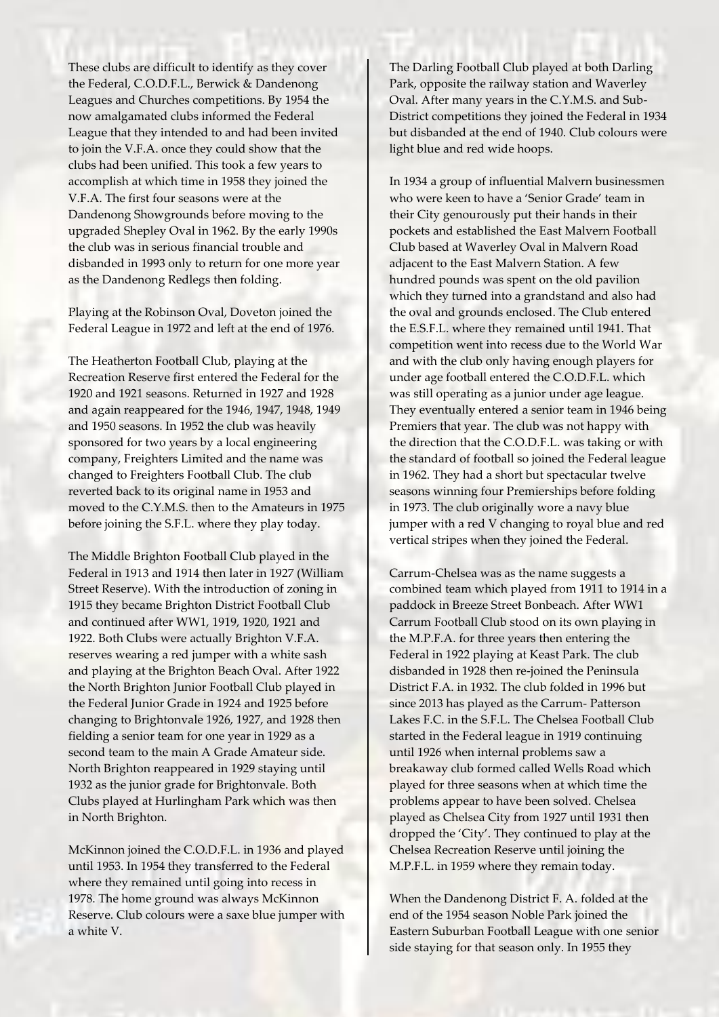These clubs are difficult to identify as they cover the Federal, C.O.D.F.L., Berwick & Dandenong Leagues and Churches competitions. By 1954 the now amalgamated clubs informed the Federal League that they intended to and had been invited to join the V.F.A. once they could show that the clubs had been unified. This took a few years to accomplish at which time in 1958 they joined the V.F.A. The first four seasons were at the Dandenong Showgrounds before moving to the upgraded Shepley Oval in 1962. By the early 1990s the club was in serious financial trouble and disbanded in 1993 only to return for one more year as the Dandenong Redlegs then folding.

Playing at the Robinson Oval, Doveton joined the Federal League in 1972 and left at the end of 1976.

The Heatherton Football Club, playing at the Recreation Reserve first entered the Federal for the 1920 and 1921 seasons. Returned in 1927 and 1928 and again reappeared for the 1946, 1947, 1948, 1949 and 1950 seasons. In 1952 the club was heavily sponsored for two years by a local engineering company, Freighters Limited and the name was changed to Freighters Football Club. The club reverted back to its original name in 1953 and moved to the C.Y.M.S. then to the Amateurs in 1975 before joining the S.F.L. where they play today.

The Middle Brighton Football Club played in the Federal in 1913 and 1914 then later in 1927 (William Street Reserve). With the introduction of zoning in 1915 they became Brighton District Football Club and continued after WW1, 1919, 1920, 1921 and 1922. Both Clubs were actually Brighton V.F.A. reserves wearing a red jumper with a white sash and playing at the Brighton Beach Oval. After 1922 the North Brighton Junior Football Club played in the Federal Junior Grade in 1924 and 1925 before changing to Brightonvale 1926, 1927, and 1928 then fielding a senior team for one year in 1929 as a second team to the main A Grade Amateur side. North Brighton reappeared in 1929 staying until 1932 as the junior grade for Brightonvale. Both Clubs played at Hurlingham Park which was then in North Brighton.

McKinnon joined the C.O.D.F.L. in 1936 and played until 1953. In 1954 they transferred to the Federal where they remained until going into recess in 1978. The home ground was always McKinnon Reserve. Club colours were a saxe blue jumper with a white V.

The Darling Football Club played at both Darling Park, opposite the railway station and Waverley Oval. After many years in the C.Y.M.S. and Sub-District competitions they joined the Federal in 1934 but disbanded at the end of 1940. Club colours were light blue and red wide hoops.

In 1934 a group of influential Malvern businessmen who were keen to have a 'Senior Grade' team in their City genourously put their hands in their pockets and established the East Malvern Football Club based at Waverley Oval in Malvern Road adjacent to the East Malvern Station. A few hundred pounds was spent on the old pavilion which they turned into a grandstand and also had the oval and grounds enclosed. The Club entered the E.S.F.L. where they remained until 1941. That competition went into recess due to the World War and with the club only having enough players for under age football entered the C.O.D.F.L. which was still operating as a junior under age league. They eventually entered a senior team in 1946 being Premiers that year. The club was not happy with the direction that the C.O.D.F.L. was taking or with the standard of football so joined the Federal league in 1962. They had a short but spectacular twelve seasons winning four Premierships before folding in 1973. The club originally wore a navy blue jumper with a red V changing to royal blue and red vertical stripes when they joined the Federal.

Carrum-Chelsea was as the name suggests a combined team which played from 1911 to 1914 in a paddock in Breeze Street Bonbeach. After WW1 Carrum Football Club stood on its own playing in the M.P.F.A. for three years then entering the Federal in 1922 playing at Keast Park. The club disbanded in 1928 then re-joined the Peninsula District F.A. in 1932. The club folded in 1996 but since 2013 has played as the Carrum- Patterson Lakes F.C. in the S.F.L. The Chelsea Football Club started in the Federal league in 1919 continuing until 1926 when internal problems saw a breakaway club formed called Wells Road which played for three seasons when at which time the problems appear to have been solved. Chelsea played as Chelsea City from 1927 until 1931 then dropped the 'City'. They continued to play at the Chelsea Recreation Reserve until joining the M.P.F.L. in 1959 where they remain today.

When the Dandenong District F. A. folded at the end of the 1954 season Noble Park joined the Eastern Suburban Football League with one senior side staying for that season only. In 1955 they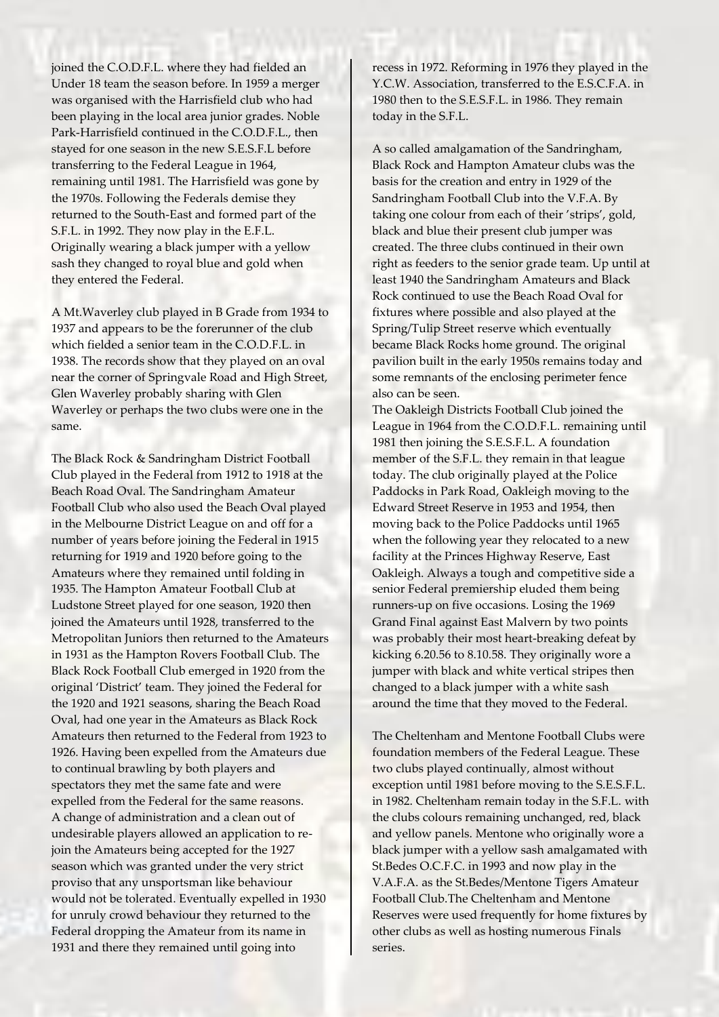joined the C.O.D.F.L. where they had fielded an Under 18 team the season before. In 1959 a merger was organised with the Harrisfield club who had been playing in the local area junior grades. Noble Park-Harrisfield continued in the C.O.D.F.L., then stayed for one season in the new S.E.S.F.L before transferring to the Federal League in 1964, remaining until 1981. The Harrisfield was gone by the 1970s. Following the Federals demise they returned to the South-East and formed part of the S.F.L. in 1992. They now play in the E.F.L. Originally wearing a black jumper with a yellow sash they changed to royal blue and gold when they entered the Federal.

A Mt.Waverley club played in B Grade from 1934 to 1937 and appears to be the forerunner of the club which fielded a senior team in the C.O.D.F.L. in 1938. The records show that they played on an oval near the corner of Springvale Road and High Street, Glen Waverley probably sharing with Glen Waverley or perhaps the two clubs were one in the same.

The Black Rock & Sandringham District Football Club played in the Federal from 1912 to 1918 at the Beach Road Oval. The Sandringham Amateur Football Club who also used the Beach Oval played in the Melbourne District League on and off for a number of years before joining the Federal in 1915 returning for 1919 and 1920 before going to the Amateurs where they remained until folding in 1935. The Hampton Amateur Football Club at Ludstone Street played for one season, 1920 then joined the Amateurs until 1928, transferred to the Metropolitan Juniors then returned to the Amateurs in 1931 as the Hampton Rovers Football Club. The Black Rock Football Club emerged in 1920 from the original 'District' team. They joined the Federal for the 1920 and 1921 seasons, sharing the Beach Road Oval, had one year in the Amateurs as Black Rock Amateurs then returned to the Federal from 1923 to 1926. Having been expelled from the Amateurs due to continual brawling by both players and spectators they met the same fate and were expelled from the Federal for the same reasons. A change of administration and a clean out of undesirable players allowed an application to rejoin the Amateurs being accepted for the 1927 season which was granted under the very strict proviso that any unsportsman like behaviour would not be tolerated. Eventually expelled in 1930 for unruly crowd behaviour they returned to the Federal dropping the Amateur from its name in 1931 and there they remained until going into

recess in 1972. Reforming in 1976 they played in the Y.C.W. Association, transferred to the E.S.C.F.A. in 1980 then to the S.E.S.F.L. in 1986. They remain today in the S.F.L.

A so called amalgamation of the Sandringham, Black Rock and Hampton Amateur clubs was the basis for the creation and entry in 1929 of the Sandringham Football Club into the V.F.A. By taking one colour from each of their 'strips', gold, black and blue their present club jumper was created. The three clubs continued in their own right as feeders to the senior grade team. Up until at least 1940 the Sandringham Amateurs and Black Rock continued to use the Beach Road Oval for fixtures where possible and also played at the Spring/Tulip Street reserve which eventually became Black Rocks home ground. The original pavilion built in the early 1950s remains today and some remnants of the enclosing perimeter fence also can be seen.

The Oakleigh Districts Football Club joined the League in 1964 from the C.O.D.F.L. remaining until 1981 then joining the S.E.S.F.L. A foundation member of the S.F.L. they remain in that league today. The club originally played at the Police Paddocks in Park Road, Oakleigh moving to the Edward Street Reserve in 1953 and 1954, then moving back to the Police Paddocks until 1965 when the following year they relocated to a new facility at the Princes Highway Reserve, East Oakleigh. Always a tough and competitive side a senior Federal premiership eluded them being runners-up on five occasions. Losing the 1969 Grand Final against East Malvern by two points was probably their most heart-breaking defeat by kicking 6.20.56 to 8.10.58. They originally wore a jumper with black and white vertical stripes then changed to a black jumper with a white sash around the time that they moved to the Federal.

The Cheltenham and Mentone Football Clubs were foundation members of the Federal League. These two clubs played continually, almost without exception until 1981 before moving to the S.E.S.F.L. in 1982. Cheltenham remain today in the S.F.L. with the clubs colours remaining unchanged, red, black and yellow panels. Mentone who originally wore a black jumper with a yellow sash amalgamated with St.Bedes O.C.F.C. in 1993 and now play in the V.A.F.A. as the St.Bedes/Mentone Tigers Amateur Football Club.The Cheltenham and Mentone Reserves were used frequently for home fixtures by other clubs as well as hosting numerous Finals series.